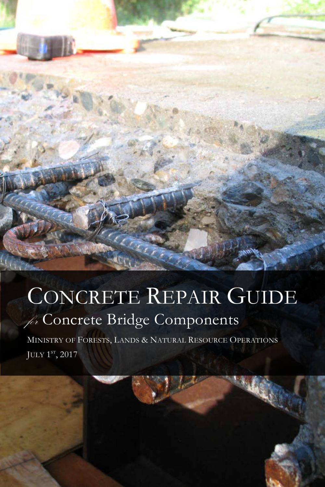# CONCRETE REPAIR GUIDE for Concrete Bridge Components

MINISTRY OF FORESTS, LANDS & NATURAL RESOURCE OPERATIONS JULY 1st, 2017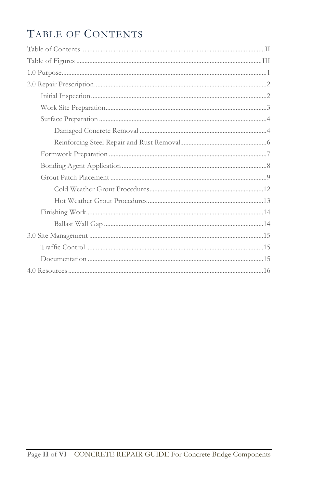## <span id="page-1-0"></span>TABLE OF CONTENTS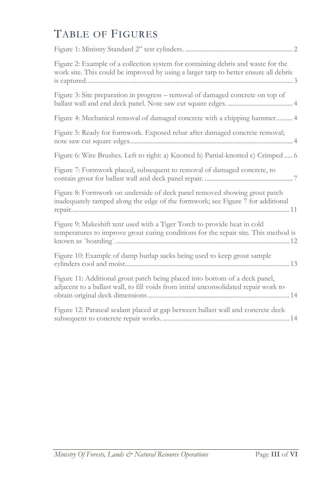## <span id="page-2-0"></span>TABLE OF FIGURES

| Figure 2: Example of a collection system for containing debris and waste for the<br>work site. This could be improved by using a larger tarp to better ensure all debris |
|--------------------------------------------------------------------------------------------------------------------------------------------------------------------------|
| Figure 3: Site preparation in progress - removal of damaged concrete on top of                                                                                           |
| Figure 4: Mechanical removal of damaged concrete with a chipping hammer 4                                                                                                |
| Figure 5: Ready for formwork. Exposed rebar after damaged concrete removal;                                                                                              |
| Figure 6: Wire Brushes. Left to right: a) Knotted b) Partial-knotted c) Crimped  6                                                                                       |
| Figure 7: Formwork placed, subsequent to removal of damaged concrete, to                                                                                                 |
| Figure 8: Formwork on underside of deck panel removed showing grout patch<br>inadequately tamped along the edge of the formwork; see Figure 7 for additional             |
| Figure 9: Makeshift tent used with a Tiger Torch to provide heat in cold<br>temperatures to improve grout curing conditions for the repair site. This method is          |
| Figure 10: Example of damp burlap sacks being used to keep grout sample                                                                                                  |
| Figure 11: Additional grout patch being placed into bottom of a deck panel,<br>adjacent to a ballast wall, to fill voids from initial unconsolidated repair work to      |
| Figure 12: Paraseal sealant placed at gap between ballast wall and concrete deck                                                                                         |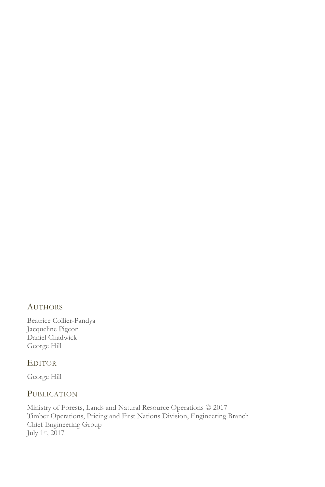### AUTHORS

Beatrice Collier-Pandya Jacqueline Pigeon Daniel Chadwick George Hill

#### EDITOR

George Hill

### PUBLICATION

Ministry of Forests, Lands and Natural Resource Operations © 2017 Timber Operations, Pricing and First Nations Division, Engineering Branch Chief Engineering Group July 1st, 2017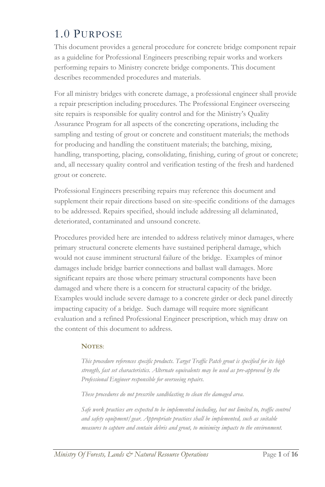## <span id="page-4-0"></span>1.0 PURPOSE

This document provides a general procedure for concrete bridge component repair as a guideline for Professional Engineers prescribing repair works and workers performing repairs to Ministry concrete bridge components. This document describes recommended procedures and materials.

For all ministry bridges with concrete damage, a professional engineer shall provide a repair prescription including procedures. The Professional Engineer overseeing site repairs is responsible for quality control and for the Ministry's Quality Assurance Program for all aspects of the concreting operations, including the sampling and testing of grout or concrete and constituent materials; the methods for producing and handling the constituent materials; the batching, mixing, handling, transporting, placing, consolidating, finishing, curing of grout or concrete; and, all necessary quality control and verification testing of the fresh and hardened grout or concrete.

Professional Engineers prescribing repairs may reference this document and supplement their repair directions based on site-specific conditions of the damages to be addressed. Repairs specified, should include addressing all delaminated, deteriorated, contaminated and unsound concrete.

Procedures provided here are intended to address relatively minor damages, where primary structural concrete elements have sustained peripheral damage, which would not cause imminent structural failure of the bridge. Examples of minor damages include bridge barrier connections and ballast wall damages. More significant repairs are those where primary structural components have been damaged and where there is a concern for structural capacity of the bridge. Examples would include severe damage to a concrete girder or deck panel directly impacting capacity of a bridge. Such damage will require more significant evaluation and a refined Professional Engineer prescription, which may draw on the content of this document to address.

### **NOTES**:

*This procedure references specific products. Target Traffic Patch grout is specified for its high strength, fast set characteristics. Alternate equivalents may be used as pre-approved by the Professional Engineer responsible for overseeing repairs.*

*These procedures do not prescribe sandblasting to clean the damaged area.* 

*Safe work practices are expected to be implemented including, but not limited to, traffic control and safety equipment/gear. Appropriate practices shall be implemented, such as suitable measures to capture and contain debris and grout, to minimize impacts to the environment.*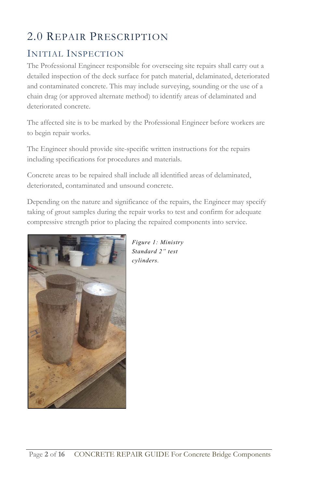## <span id="page-5-0"></span>2.0 REPAIR PRESCRIPTION

### <span id="page-5-1"></span>INITIAL INSPECTION

The Professional Engineer responsible for overseeing site repairs shall carry out a detailed inspection of the deck surface for patch material, delaminated, deteriorated and contaminated concrete. This may include surveying, sounding or the use of a chain drag (or approved alternate method) to identify areas of delaminated and deteriorated concrete.

The affected site is to be marked by the Professional Engineer before workers are to begin repair works.

The Engineer should provide site-specific written instructions for the repairs including specifications for procedures and materials.

Concrete areas to be repaired shall include all identified areas of delaminated, deteriorated, contaminated and unsound concrete.

Depending on the nature and significance of the repairs, the Engineer may specify taking of grout samples during the repair works to test and confirm for adequate compressive strength prior to placing the repaired components into service.



*Figure 1: Ministry Standard 2" test cylinders.*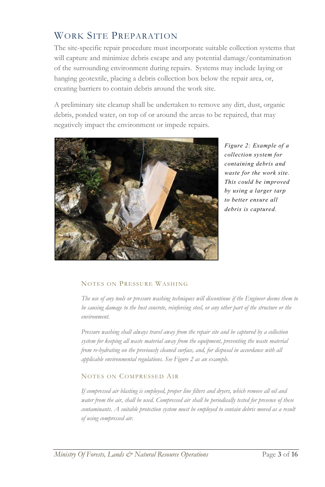### <span id="page-6-0"></span>WORK SITE PREPARATION

The site-specific repair procedure must incorporate suitable collection systems that will capture and minimize debris escape and any potential damage/contamination of the surrounding environment during repairs. Systems may include laying or hanging geotextile, placing a debris collection box below the repair area, or, creating barriers to contain debris around the work site.

A preliminary site cleanup shall be undertaken to remove any dirt, dust, organic debris, ponded water, on top of or around the areas to be repaired, that may negatively impact the environment or impede repairs.



<span id="page-6-1"></span>*Figure 2: Example of a collection system for containing debris and waste for the work site. This could be improved by using a larger tarp to better ensure all debris is captured.*

#### <span id="page-6-2"></span>NOTES ON PRESSURE WASHING

*The use of any tools or pressure washing techniques will discontinue if the Engineer deems them to be causing damage to the host concrete, reinforcing steel, or any other part of the structure or the environment.*

*Pressure washing shall always travel away from the repair site and be captured by a collection system for keeping all waste material away from the equipment, preventing the waste material from re-hydrating on the previously cleaned surface, and, for disposal in accordance with all applicable environmental regulations. See [Figure 2](#page-6-1) as an example.*

#### <span id="page-6-3"></span>NOTES ON COMPRESSED AIR

*If compressed air blasting is employed, proper line filters and dryers, which remove all oil and water from the air, shall be used. Compressed air shall be periodically tested for presence of these contaminants. A suitable protection system must be employed to contain debris moved as a result of using compressed air.*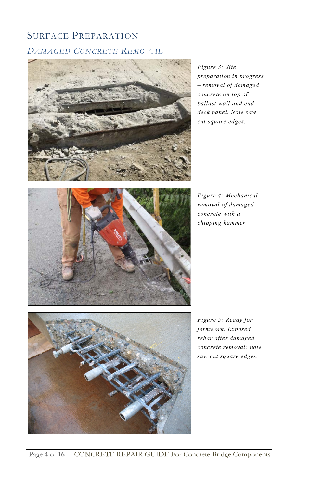## <span id="page-7-1"></span><span id="page-7-0"></span>SURFACE PREPARATION *DAMAGED CONCRETE REMOVAL*

<span id="page-7-2"></span>

*Figure 3: Site preparation in progress – removal of damaged concrete on top of ballast wall and end deck panel. Note saw cut square edges.*

<span id="page-7-4"></span>

*Figure 4: Mechanical removal of damaged concrete with a chipping hammer*

<span id="page-7-3"></span>

*Figure 5: Ready for formwork. Exposed rebar after damaged concrete removal; note saw cut square edges.*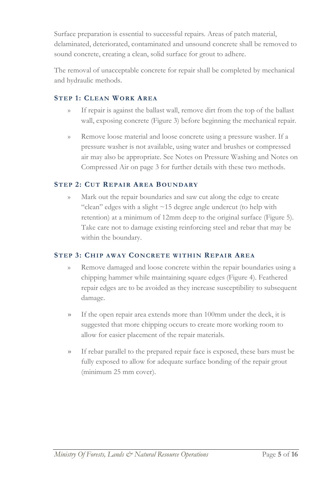Surface preparation is essential to successful repairs. Areas of patch material, delaminated, deteriorated, contaminated and unsound concrete shall be removed to sound concrete, creating a clean, solid surface for grout to adhere.

The removal of unacceptable concrete for repair shall be completed by mechanical and hydraulic methods.

### **STEP 1: CLEAN WORK AREA**

- If repair is against the ballast wall, remove dirt from the top of the ballast wall, exposing concrete [\(Figure 3\)](#page-7-2) before beginning the mechanical repair.
- » Remove loose material and loose concrete using a pressure washer. If a pressure washer is not available, using water and brushes or compressed air may also be appropriate. See [Notes on Pressure Washing](#page-6-2) an[d Notes on](#page-6-3)  [Compressed Air](#page-6-3) on page 3 for further details with these two methods.

### **STEP 2: CUT REPAIR AREA BOUNDARY**

Mark out the repair boundaries and saw cut along the edge to create "clean" edges with a slight  $\sim$ 15 degree angle undercut (to help with retention) at a minimum of 12mm deep to the original surface [\(Figure 5\)](#page-7-3). Take care not to damage existing reinforcing steel and rebar that may be within the boundary.

### **STEP 3: CHIP AWAY CONCRETE WITHIN REPAIR AREA**

- » Remove damaged and loose concrete within the repair boundaries using a chipping hammer while maintaining square edges [\(Figure 4\)](#page-7-4). Feathered repair edges are to be avoided as they increase susceptibility to subsequent damage.
- » If the open repair area extends more than 100mm under the deck, it is suggested that more chipping occurs to create more working room to allow for easier placement of the repair materials.
- » If rebar parallel to the prepared repair face is exposed, these bars must be fully exposed to allow for adequate surface bonding of the repair grout (minimum 25 mm cover).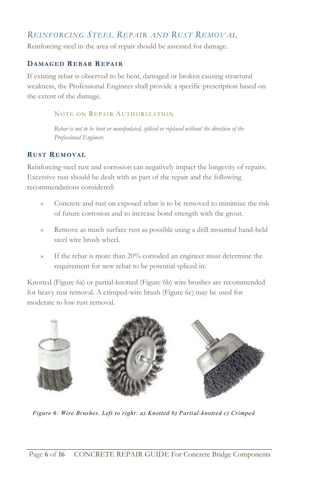### <span id="page-9-0"></span>*REINFORCING STEEL REPAIR AND RUST REMOVAL*

Reinforcing steel in the area of repair should be assessed for damage.

### **DAMAGED REBAR REPAIR**

If existing rebar is observed to be bent, damaged or broken causing structural weakness, the Professional Engineer shall provide a specific prescription based on the extent of the damage.

### NOTE ON REPAIR AUTHORIZATION

*Rebar is not to be bent or manipulated, spliced or replaced without the direction of the Professional Engineer.*

### **RUST REMOVAL**

Reinforcing steel rust and corrosion can negatively impact the longevity of repairs. Excessive rust should be dealt with as part of the repair and the following recommendations considered:

- » Concrete and rust on exposed rebar is to be removed to minimize the risk of future corrosion and to increase bond strength with the grout.
- » Remove as much surface rust as possible using a drill mounted hand-held steel wire brush wheel.
- » If the rebar is more than 20% corroded an engineer must determine the requirement for new rebar to be potential spliced in.

Knotted [\(Figure 6a](#page-9-1)) or partial-knotted [\(Figure 6b](#page-9-1)) wire brushes are recommended for heavy rust removal. A crimped-wire brush [\(Figure 6c](#page-9-1)) may be used for moderate to low rust removal.

<span id="page-9-1"></span>

*Figure 6: Wire Brushes. Left to right: a) Knotted b) Partial-knotted c) Crimped*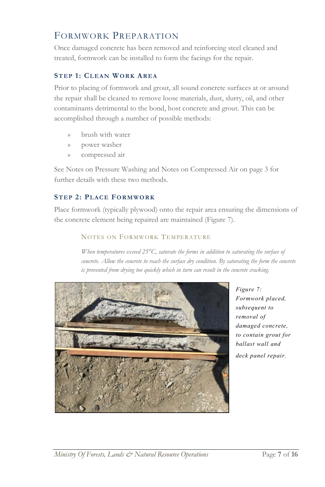### <span id="page-10-0"></span>FORMWORK PREPARATION

Once damaged concrete has been removed and reinforcing steel cleaned and treated, formwork can be installed to form the facings for the repair.

### **STEP 1: CLEAN WORK AREA**

Prior to placing of formwork and grout, all sound concrete surfaces at or around the repair shall be cleaned to remove loose materials, dust, slurry, oil, and other contaminants detrimental to the bond, host concrete and grout. This can be accomplished through a number of possible methods:

- » brush with water
- » power washer
- » compressed air

Se[e Notes on Pressure Washing](#page-6-2) and [Notes on Compressed Air](#page-6-3) on page 3 for further details with these two methods.

### **STEP 2: PLACE FORMWORK**

Place formwork (typically plywood) onto the repair area ensuring the dimensions of the concrete element being repaired are maintained [\(Figure 7\)](#page-10-1).

### NOTES ON FORMWORK TEMPERATURE

*When temperatures exceed 25°C, saturate the forms in addition to saturating the surface of concrete. Allow the concrete to reach the surface dry condition. By saturating the form the concrete is prevented from drying too quickly which in turn can result in the concrete cracking.*



<span id="page-10-1"></span>*Figure 7: Formwork placed, subsequent to removal of damaged concrete, to contain grout for ballast wall and deck panel repair.*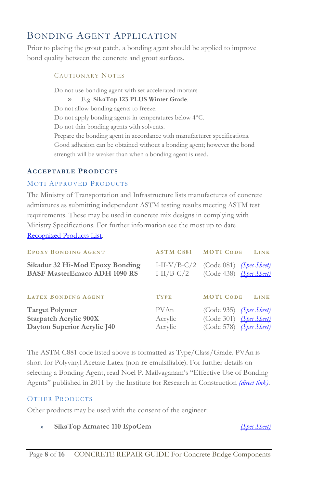### <span id="page-11-0"></span>BONDING AGENT APPLICATION

Prior to placing the grout patch, a bonding agent should be applied to improve bond quality between the concrete and grout surfaces.

> CAUTIONARY NOTES Do not use bonding agent with set accelerated mortars » E.g. **SikaTop 123 PLUS Winter Grade**. Do not allow bonding agents to freeze. Do not apply bonding agents in temperatures below 4°C. Do not thin bonding agents with solvents. Prepare the bonding agent in accordance with manufacturer specifications. Good adhesion can be obtained without a bonding agent; however the bond strength will be weaker than when a bonding agent is used.

### **ACCEPTABLE PRODUCTS**

### MOTI APPROVED PRODUCTS

The Ministry of Transportation and Infrastructure lists manufactures of concrete admixtures as submitting independent ASTM testing results meeting ASTM test requirements. These may be used in concrete mix designs in complying with Ministry Specifications. For further information see the most up to date [Recognized Products List.](http://www2.gov.bc.ca/assets/gov/driving-and-transportation/transportation-infrastructure/engineering-standards-and-guidelines/recognized-products-list/recognized_products_list.pdf)

| <b>EPOXY BONDING AGENT</b>                                                            | <b>ASTM C881 MOTI CODE</b> | LINK                                                                                   |
|---------------------------------------------------------------------------------------|----------------------------|----------------------------------------------------------------------------------------|
| Sikadur 32 Hi-Mod Epoxy Bonding<br><b>BASF MasterEmaco ADH 1090 RS</b>                | $I-II/B-C/2$               | I-II-V/B-C/2 (Code 081) $(Spec Select)$<br>(Code 438) (Spec Sheet)                     |
| <b>LATEX BONDING AGENT</b>                                                            | <b>TYPE</b>                | <b>MOTI CODE</b><br>LINK                                                               |
| <b>Target Polymer</b><br><b>Starpatch Acrylic 900X</b><br>Dayton Superior Acrylic J40 | PVAn<br>Acrylic<br>Acrylic | $(Code 935)$ <i>(Spec Sheet)</i><br>(Code 301) (Spec Sheet)<br>(Code 578) (Spec Sheet) |

The ASTM C881 code listed above is formatted as Type/Class/Grade. PVAn is short for Polyvinyl Acetate Latex (non-re-emulsifiable). For further details on selecting a Bonding Agent, read Noel P. Mailvaganam's "Effective Use of Bonding Agents" published in 2011 by the Institute for Research in Construction *[\(direct link\)](https://www.nrc-cnrc.gc.ca/ctu-sc/files/doc/ctu-sc/ctu-n11_eng.pdf)*.

### OTHER PRODUCTS

Other products may be used with the consent of the engineer:

» **SikaTop Armatec 110 EpoCem** *[\(Spec Sheet\)](https://can.sika.com/dms/getdocument.get/67a7d195-812d-36d1-b718-884a31c8e76d/SikaTopArmatec110EpoCem_pds.pdf)*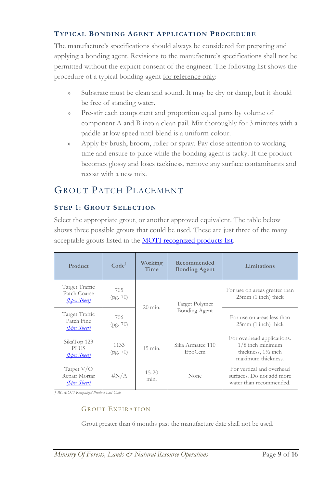### **TYPICAL BONDING AGENT APPLICATION PROCEDURE**

The manufacture's specifications should always be considered for preparing and applying a bonding agent. Revisions to the manufacture's specifications shall not be permitted without the explicit consent of the engineer. The following list shows the procedure of a typical bonding agent <u>for reference only</u>:

- » Substrate must be clean and sound. It may be dry or damp, but it should be free of standing water.
- » Pre-stir each component and proportion equal parts by volume of component A and B into a clean pail. Mix thoroughly for 3 minutes with a paddle at low speed until blend is a uniform colour.
- » Apply by brush, broom, roller or spray. Pay close attention to working time and ensure to place while the bonding agent is tacky. If the product becomes glossy and loses tackiness, remove any surface contaminants and recoat with a new mix.

### <span id="page-12-0"></span>GROUT PATCH PLACEMENT

### **STEP 1: GROUT SELECTION**

Select the appropriate grout, or another approved equivalent. The table below shows three possible grouts that could be used. These are just three of the many acceptable grouts listed in the **MOTI** recognized products list.

| Product                                        | Code <sup>†</sup> | Working<br>Time   | Recommended<br><b>Bonding Agent</b>    | Limitations                                                                                              |
|------------------------------------------------|-------------------|-------------------|----------------------------------------|----------------------------------------------------------------------------------------------------------|
| Target Traffic<br>Patch Coarse<br>(Spec Sheet) | 705<br>(pg. 70)   | $20$ min.         | Target Polymer<br><b>Bonding Agent</b> | For use on areas greater than<br>$25mm$ (1 inch) thick                                                   |
| Target Traffic<br>Patch Fine<br>(Spec Sheet)   | 706<br>(pg. 70)   |                   |                                        | For use on areas less than<br>$25mm$ (1 inch) thick                                                      |
| SikaTop 123<br><b>PLUS</b><br>(Spec Sheet)     | 1133<br>(pg. 70)  | $15 \text{ min.}$ | Sika Armatec 110<br>EpoCem             | For overhead applications.<br>$1/8$ inch minimum<br>thickness, $1\frac{1}{2}$ inch<br>maximum thickness. |
| Target V/O<br>Repair Mortar<br>(Spec Sheet)    | $\#N/A$           | $15 - 20$<br>min. | None                                   | For vertical and overhead<br>surfaces. Do not add more<br>water than recommended.                        |

*† BC MOTI Recognized Product List Code*

### GROUT EXPIRATION

Grout greater than 6 months past the manufacture date shall not be used.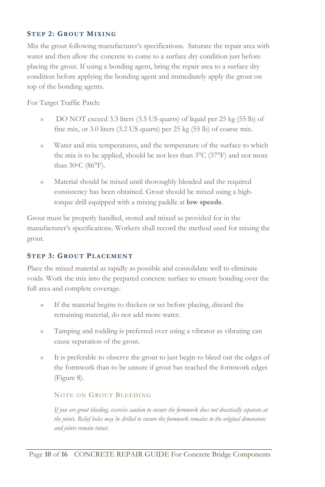### **STEP 2: GROUT MIXING**

Mix the grout following manufacturer's specifications. Saturate the repair area with water and then allow the concrete to come to a surface dry condition just before placing the grout. If using a bonding agent, bring the repair area to a surface dry condition before applying the bonding agent and immediately apply the grout on top of the bonding agents.

For Target Traffic Patch:

- » DO NOT exceed 3.3 liters (3.5 US quarts) of liquid per 25 kg (55 lb) of fine mix, or 3.0 liters (3.2 US quarts) per 25 kg (55 lb) of coarse mix.
- » Water and mix temperatures, and the temperature of the surface to which the mix is to be applied, should be not less than  $3^{\circ}$ C (37 $^{\circ}$ F) and not more than 30oC (86°F).
- » Material should be mixed until thoroughly blended and the required consistency has been obtained. Grout should be mixed using a hightorque drill equipped with a mixing paddle at **low speeds**.

Grout must be properly handled, stored and mixed as provided for in the manufacturer's specifications. Workers shall record the method used for mixing the grout.

### **STEP 3: GROUT PLACEMENT**

Place the mixed material as rapidly as possible and consolidate well to eliminate voids. Work the mix into the prepared concrete surface to ensure bonding over the full area and complete coverage.

- » If the material begins to thicken or set before placing, discard the remaining material, do not add more water.
- » Tamping and rodding is preferred over using a vibrator as vibrating can cause separation of the grout.
- » It is preferable to observe the grout to just begin to bleed out the edges of the formwork than to be unsure if grout has reached the formwork edges [\(Figure 8\)](#page-14-0).

#### NOTE ON GROUT BLEEDING

*If you are grout bleeding, exercise caution to ensure the formwork does not drastically separate at the joints. Relief holes may be drilled to ensure the formwork remains to the original dimensions and joints remain intact.*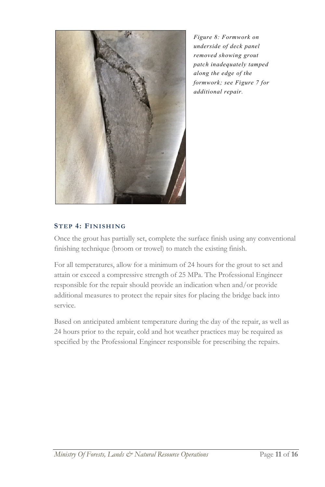<span id="page-14-0"></span>

*Figure 8: Formwork on underside of deck panel removed showing grout patch inadequately tamped along the edge of the formwork; see Figure 7 for additional repair.*

### **STEP 4: FINISHING**

Once the grout has partially set, complete the surface finish using any conventional finishing technique (broom or trowel) to match the existing finish.

For all temperatures, allow for a minimum of 24 hours for the grout to set and attain or exceed a compressive strength of 25 MPa. The Professional Engineer responsible for the repair should provide an indication when and/or provide additional measures to protect the repair sites for placing the bridge back into service.

Based on anticipated ambient temperature during the day of the repair, as well as 24 hours prior to the repair, cold and hot weather practices may be required as specified by the Professional Engineer responsible for prescribing the repairs.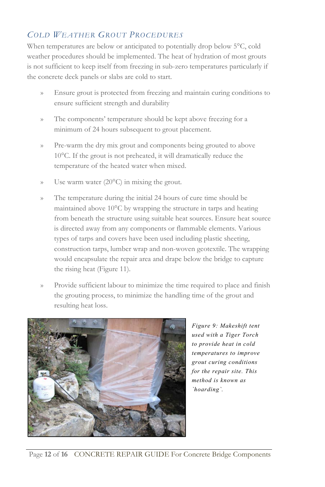### <span id="page-15-0"></span>*COLD WEATHER GROUT PROCEDURES*

When temperatures are below or anticipated to potentially drop below 5<sup>o</sup>C, cold weather procedures should be implemented. The heat of hydration of most grouts is not sufficient to keep itself from freezing in sub-zero temperatures particularly if the concrete deck panels or slabs are cold to start.

- » Ensure grout is protected from freezing and maintain curing conditions to ensure sufficient strength and durability
- » The components' temperature should be kept above freezing for a minimum of 24 hours subsequent to grout placement.
- » Pre-warm the dry mix grout and components being grouted to above 10°C. If the grout is not preheated, it will dramatically reduce the temperature of the heated water when mixed.
- » Use warm water (20°C) in mixing the grout.
- » The temperature during the initial 24 hours of cure time should be maintained above 10°C by wrapping the structure in tarps and heating from beneath the structure using suitable heat sources. Ensure heat source is directed away from any components or flammable elements. Various types of tarps and covers have been used including plastic sheeting, construction tarps, lumber wrap and non-woven geotextile. The wrapping would encapsulate the repair area and drape below the bridge to capture the rising heat [\(Figure 11\)](#page-17-2).
- Provide sufficient labour to minimize the time required to place and finish the grouting process, to minimize the handling time of the grout and resulting heat loss.



*Figure 9: Makeshift tent used with a Tiger Torch to provide heat in cold temperatures to improve grout curing conditions for the repair site. This method is known as `hoarding`.*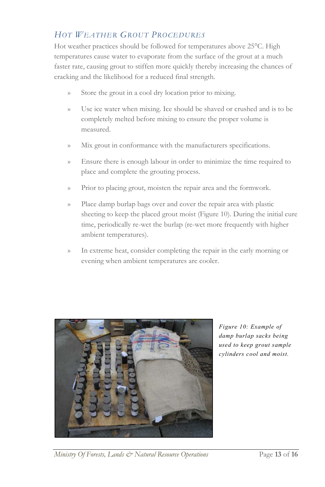### <span id="page-16-0"></span>*HOT WEATHER GROUT PROCEDURES*

Hot weather practices should be followed for temperatures above 25°C. High temperatures cause water to evaporate from the surface of the grout at a much faster rate, causing grout to stiffen more quickly thereby increasing the chances of cracking and the likelihood for a reduced final strength.

- » Store the grout in a cool dry location prior to mixing.
- » Use ice water when mixing. Ice should be shaved or crushed and is to be completely melted before mixing to ensure the proper volume is measured.
- » Mix grout in conformance with the manufacturers specifications.
- » Ensure there is enough labour in order to minimize the time required to place and complete the grouting process.
- » Prior to placing grout, moisten the repair area and the formwork.
- » Place damp burlap bags over and cover the repair area with plastic sheeting to keep the placed grout moist [\(Figure 10\)](#page-16-1). During the initial cure time, periodically re-wet the burlap (re-wet more frequently with higher ambient temperatures).
- <span id="page-16-1"></span>» In extreme heat, consider completing the repair in the early morning or evening when ambient temperatures are cooler.



*Figure 10: Example of damp burlap sacks being used to keep grout sample cylinders cool and moist.*

*Ministry Of Forests, Lands & Natural Resource Operations* Page 13 of 16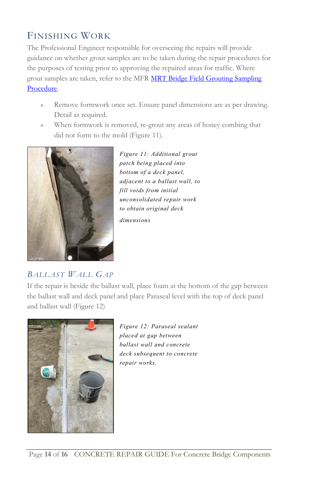### <span id="page-17-0"></span>FINISHING WORK

The Professional Engineer responsible for overseeing the repairs will provide guidance on whether grout samples are to be taken during the repair procedures for the purposes of testing prior to approving the repaired areas for traffic. Where grout samples are taken, refer to the MFR MRT Bridge Field Grouting Sampling [Procedure.](http://www2.gov.bc.ca/assets/gov/farming-natural-resources-and-industry/natural-resource-use/resource-roads/groutsampleproceduredec2016.pdf)

- » Remove formwork once set. Ensure panel dimensions are as per drawing. Detail as required.
- » When formwork is removed, re-grout any areas of honey combing that did not form to the mold [\(Figure 11\)](#page-17-2).



<span id="page-17-2"></span>*Figure 11: Additional grout patch being placed into bottom of a deck panel, adjacent to a ballast wall, to fill voids from initial unconsolidated repair work to obtain original deck dimensions*

### <span id="page-17-1"></span>*BALLAST WALL GAP*

If the repair is beside the ballast wall, place foam at the bottom of the gap between the ballast wall and deck panel and place Paraseal level with the top of deck panel and ballast wall [\(Figure 12\)](#page-17-3)

<span id="page-17-3"></span>

*Figure 12: Paraseal sealant placed at gap between ballast wall and concrete deck subsequent to concrete repair works.*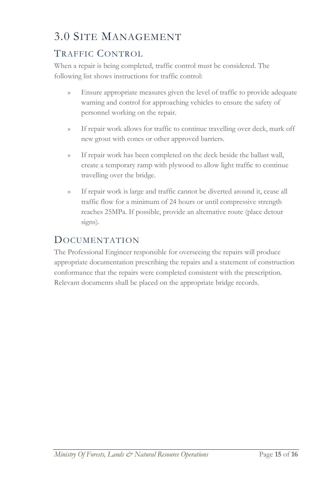## <span id="page-18-0"></span>3.0 SITE MANAGEMENT

### <span id="page-18-1"></span>TRAFFIC CONTROL

When a repair is being completed, traffic control must be considered. The following list shows instructions for traffic control:

- » Ensure appropriate measures given the level of traffic to provide adequate warning and control for approaching vehicles to ensure the safety of personnel working on the repair.
- » If repair work allows for traffic to continue travelling over deck, mark off new grout with cones or other approved barriers.
- » If repair work has been completed on the deck beside the ballast wall, create a temporary ramp with plywood to allow light traffic to continue travelling over the bridge.
- » If repair work is large and traffic cannot be diverted around it, cease all traffic flow for a minimum of 24 hours or until compressive strength reaches 25MPa. If possible, provide an alternative route (place detour signs).

### <span id="page-18-2"></span>**DOCUMENTATION**

The Professional Engineer responsible for overseeing the repairs will produce appropriate documentation prescribing the repairs and a statement of construction conformance that the repairs were completed consistent with the prescription. Relevant documents shall be placed on the appropriate bridge records.